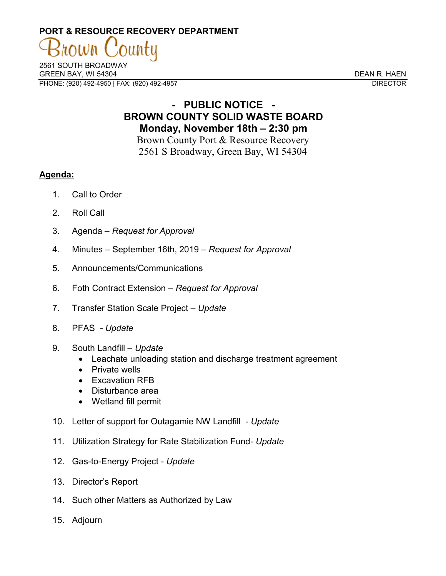## **PORT & RESOURCE RECOVERY DEPARTMENT**

2561 SOUTH BROADWAY GREEN BAY, WI 54304 DEAN R. HAEN PHONE: (920) 492-4950 | FAX: (920) 492-4957 DIRECTOR

## **- PUBLIC NOTICE - BROWN COUNTY SOLID WASTE BOARD Monday, November 18th – 2:30 pm**

Brown County Port & Resource Recovery 2561 S Broadway, Green Bay, WI 54304

## **Agenda:**

- 1. Call to Order
- 2. Roll Call
- 3. Agenda *Request for Approval*
- 4. Minutes September 16th, 2019 *Request for Approval*
- 5. Announcements/Communications
- 6. Foth Contract Extension *Request for Approval*
- 7. Transfer Station Scale Project *Update*
- 8. PFAS *- Update*
- 9. South Landfill *Update*
	- Leachate unloading station and discharge treatment agreement
	- Private wells
	- Excavation RFB
	- Disturbance area
	- Wetland fill permit
- 10. Letter of support for Outagamie NW Landfill *- Update*
- 11. Utilization Strategy for Rate Stabilization Fund*- Update*
- 12. Gas-to-Energy Project *Update*
- 13. Director's Report
- 14. Such other Matters as Authorized by Law
- 15. Adjourn